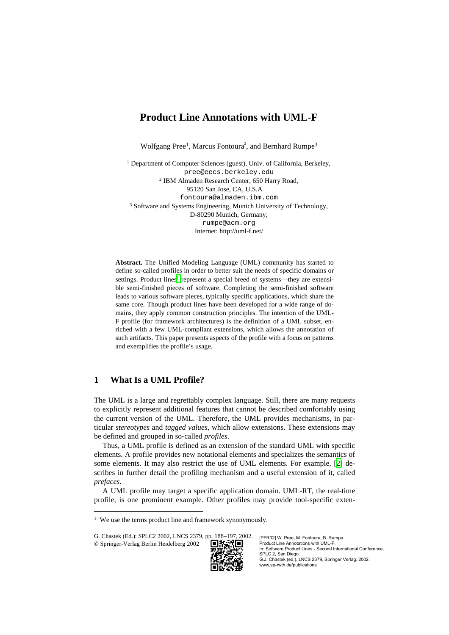# **Product Line Annotations with UML-F**

Wolfgang Pree<sup>1</sup>, Marcus Fontoura<sup>2</sup>, and Bernhard Rumpe<sup>3</sup>

<sup>1</sup> Department of Computer Sciences (guest), Univ. of California, Berkeley, pree@eecs.berkeley.edu 2 IBM Almaden Research Center, 650 Harry Road, 95120 San Jose, CA, U.S.A fontoura@almaden.ibm.com <sup>3</sup> Software and Systems Engineering, Munich University of Technology, D-80290 Munich, Germany, rumpe@acm.org Internet: http://uml-f.net/

**Abstract.** The Unified Modeling Language (UML) community has started to define so-called profiles in order to better suit the needs of specific domains or settings. Product lines<sup>1</sup> represent a special breed of systems—they are extensible semi-finished pieces of software. Completing the semi-finished software leads to various software pieces, typically specific applications, which share the same core. Though product lines have been developed for a wide range of domains, they apply common construction principles. The intention of the UML-F profile (for framework architectures) is the definition of a UML subset, enriched with a few UML-compliant extensions, which allows the annotation of such artifacts. This paper presents aspects of the profile with a focus on patterns and exemplifies the profile's usage.

# **1 What Is a UML Profile?**

The UML is a large and regrettably complex language. Still, there are many requests to explicitly represent additional features that cannot be described comfortably using the current version of the UML. Therefore, the UML provides mechanisms, in particular *stereotypes* and *tagged values*, which allow extensions. These extensions may be defined and grouped in so-called *profiles*.

Thus, a UML profile is defined as an extension of the standard UML with specific elements. A profile provides new notational elements and specializes the semantics of some elements. It may also restrict the use of UML elements. For example, [[2\]](#page-9-0) describes in further detail the profiling mechanism and a useful extension of it, called *prefaces*.

A UML profile may target a specific application domain. UML-RT, the real-time profile, is one prominent example. Other profiles may provide tool-specific exten-

1



<sup>&</sup>lt;sup>1</sup> We use the terms product line and framework synonymously.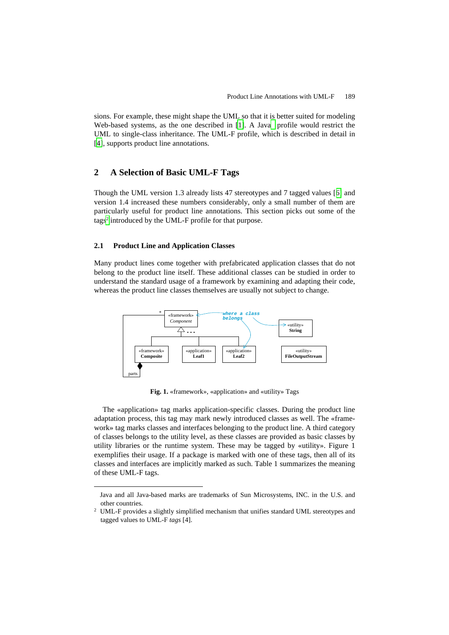sions. For example, these might shape the UML so that it is better suited for modeling Web-based systems, as the one described in [\[1\]](#page-9-0). A Java<sup>n</sup> profile would restrict the UML to single-class inheritance. The UML-F profile, which is described in detail in [[4\]](#page-9-0), supports product line annotations.

# **2 A Selection of Basic UML-F Tags**

Though the UML version 1.3 already lists 47 stereotypes and 7 tagged values [[6\]](#page-9-0) and version 1.4 increased these numbers considerably, only a small number of them are particularly useful for product line annotations. This section picks out some of the tags2 introduced by the UML-F profile for that purpose.

### **2.1 Product Line and Application Classes**

 $\overline{a}$ 

Many product lines come together with prefabricated application classes that do not belong to the product line itself. These additional classes can be studied in order to understand the standard usage of a framework by examining and adapting their code, whereas the product line classes themselves are usually not subject to change.



**Fig. 1.** «framework», «application» and «utility» Tags

The «application» tag marks application-specific classes. During the product line adaptation process, this tag may mark newly introduced classes as well. The «framework» tag marks classes and interfaces belonging to the product line. A third category of classes belongs to the utility level, as these classes are provided as basic classes by utility libraries or the runtime system. These may be tagged by «utility». Figure 1 exemplifies their usage. If a package is marked with one of these tags, then all of its classes and interfaces are implicitly marked as such. Table 1 summarizes the meaning of these UML-F tags.

Java and all Java-based marks are trademarks of Sun Microsystems, INC. in the U.S. and other countries. 2 UML-F provides a slightly simplified mechanism that unifies standard UML stereotypes and

tagged values to UML-F *tags* [4].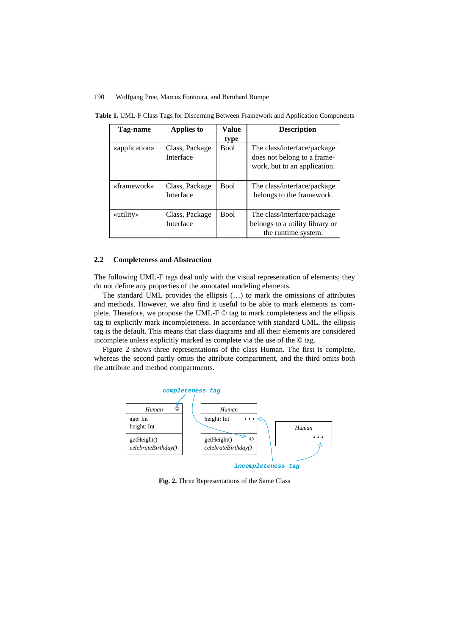| Tag-name      | Applies to                  | Value       | <b>Description</b>                                                                         |
|---------------|-----------------------------|-------------|--------------------------------------------------------------------------------------------|
|               |                             | type        |                                                                                            |
| «application» | Class, Package<br>Interface | <b>Bool</b> | The class/interface/package<br>does not belong to a frame-<br>work, but to an application. |
| «framework»   | Class, Package<br>Interface | <b>Bool</b> | The class/interface/package<br>belongs to the framework.                                   |
| «utility»     | Class, Package<br>Interface | <b>Bool</b> | The class/interface/package<br>belongs to a utility library or<br>the runtime system.      |

**Table 1.** UML-F Class Tags for Discerning Between Framework and Application Components

# **2.2 Completeness and Abstraction**

The following UML-F tags deal only with the visual representation of elements; they do not define any properties of the annotated modeling elements.

The standard UML provides the ellipsis (…) to mark the omissions of attributes and methods. However, we also find it useful to be able to mark elements as complete. Therefore, we propose the UML-F © tag to mark completeness and the ellipsis tag to explicitly mark incompleteness. In accordance with standard UML, the ellipsis tag is the default. This means that class diagrams and all their elements are considered incomplete unless explicitly marked as complete via the use of the © tag.

Figure 2 shows three representations of the class Human. The first is complete, whereas the second partly omits the attribute compartment, and the third omits both the attribute and method compartments.



**Fig. 2.** Three Representations of the Same Class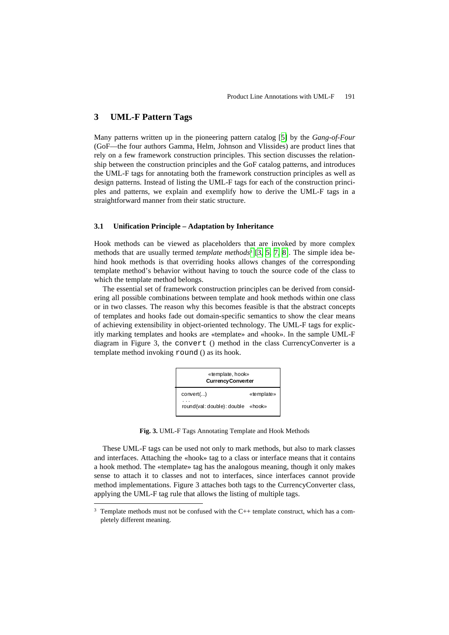# **3 UML-F Pattern Tags**

 $\overline{a}$ 

Many patterns written up in the pioneering pattern catalog [[5\]](#page-9-0) by the *Gang-of-Four* (GoF—the four authors Gamma, Helm, Johnson and Vlissides) are product lines that rely on a few framework construction principles. This section discusses the relationship between the construction principles and the GoF catalog patterns, and introduces the UML-F tags for annotating both the framework construction principles as well as design patterns. Instead of listing the UML-F tags for each of the construction principles and patterns, we explain and exemplify how to derive the UML-F tags in a straightforward manner from their static structure.

### **3.1 Unification Principle – Adaptation by Inheritance**

Hook methods can be viewed as placeholders that are invoked by more complex methods that are usually termed *template methods*3 [\[3,](#page-9-0) [5,](#page-9-0) [7,](#page-9-0) [8\]](#page-9-0). The simple idea behind hook methods is that overriding hooks allows changes of the corresponding template method's behavior without having to touch the source code of the class to which the template method belongs.

The essential set of framework construction principles can be derived from considering all possible combinations between template and hook methods within one class or in two classes. The reason why this becomes feasible is that the abstract concepts of templates and hooks fade out domain-specific semantics to show the clear means of achieving extensibility in object-oriented technology. The UML-F tags for explicitly marking templates and hooks are «template» and «hook». In the sample UML-F diagram in Figure 3, the convert () method in the class CurrencyConverter is a template method invoking round () as its hook.



**Fig. 3.** UML-F Tags Annotating Template and Hook Methods

These UML-F tags can be used not only to mark methods, but also to mark classes and interfaces. Attaching the «hook» tag to a class or interface means that it contains a hook method. The «template» tag has the analogous meaning, though it only makes sense to attach it to classes and not to interfaces, since interfaces cannot provide method implementations. Figure 3 attaches both tags to the CurrencyConverter class, applying the UML-F tag rule that allows the listing of multiple tags.

Template methods must not be confused with the C++ template construct, which has a completely different meaning.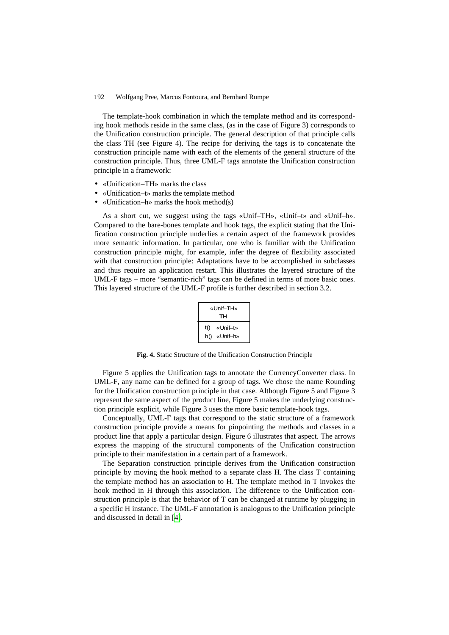The template-hook combination in which the template method and its corresponding hook methods reside in the same class, (as in the case of Figure 3) corresponds to the Unification construction principle. The general description of that principle calls the class TH (see Figure 4). The recipe for deriving the tags is to concatenate the construction principle name with each of the elements of the general structure of the construction principle. Thus, three UML-F tags annotate the Unification construction principle in a framework:

- «Unification–TH» marks the class
- «Unification–t» marks the template method
- «Unification–h» marks the hook method(s)

As a short cut, we suggest using the tags «Unif–TH», «Unif–t» and «Unif–h». Compared to the bare-bones template and hook tags, the explicit stating that the Unification construction principle underlies a certain aspect of the framework provides more semantic information. In particular, one who is familiar with the Unification construction principle might, for example, infer the degree of flexibility associated with that construction principle: Adaptations have to be accomplished in subclasses and thus require an application restart. This illustrates the layered structure of the UML-F tags – more "semantic-rich" tags can be defined in terms of more basic ones. This layered structure of the UML-F profile is further described in section 3.2.

| «∪nif–TH»<br>ΤН |                      |  |  |
|-----------------|----------------------|--|--|
| t()<br>h()      | «Unif-t»<br>«Unif-h» |  |  |

**Fig. 4.** Static Structure of the Unification Construction Principle

Figure 5 applies the Unification tags to annotate the CurrencyConverter class. In UML-F, any name can be defined for a group of tags. We chose the name Rounding for the Unification construction principle in that case. Although Figure 5 and Figure 3 represent the same aspect of the product line, Figure 5 makes the underlying construction principle explicit, while Figure 3 uses the more basic template-hook tags.

Conceptually, UML-F tags that correspond to the static structure of a framework construction principle provide a means for pinpointing the methods and classes in a product line that apply a particular design. Figure 6 illustrates that aspect. The arrows express the mapping of the structural components of the Unification construction principle to their manifestation in a certain part of a framework.

The Separation construction principle derives from the Unification construction principle by moving the hook method to a separate class H. The class T containing the template method has an association to H. The template method in T invokes the hook method in H through this association. The difference to the Unification construction principle is that the behavior of T can be changed at runtime by plugging in a specific H instance. The UML-F annotation is analogous to the Unification principle and discussed in detail in [\[4\]](#page-9-0).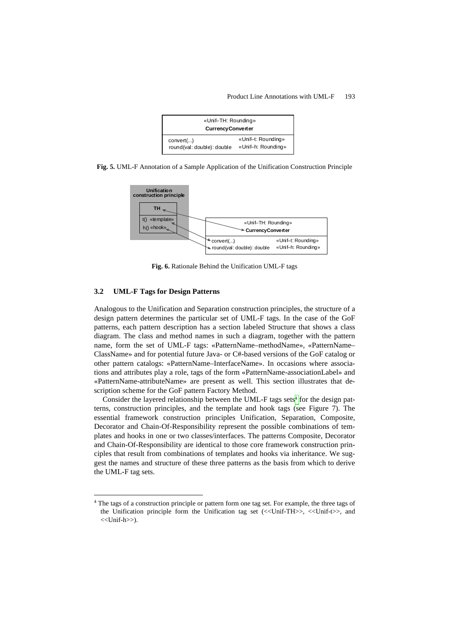

**Fig. 5.** UML-F Annotation of a Sample Application of the Unification Construction Principle



**Fig. 6.** Rationale Behind the Unification UML-F tags

#### **3.2 UML-F Tags for Design Patterns**

1

Analogous to the Unification and Separation construction principles, the structure of a design pattern determines the particular set of UML-F tags. In the case of the GoF patterns, each pattern description has a section labeled Structure that shows a class diagram. The class and method names in such a diagram, together with the pattern name, form the set of UML-F tags: «PatternName–methodName», «PatternName– ClassName» and for potential future Java- or C#-based versions of the GoF catalog or other pattern catalogs: «PatternName–InterfaceName». In occasions where associations and attributes play a role, tags of the form «PatternName-associationLabel» and «PatternName-attributeName» are present as well. This section illustrates that description scheme for the GoF pattern Factory Method.

Consider the layered relationship between the UML-F tags sets<sup>4</sup> for the design patterns, construction principles, and the template and hook tags (see Figure 7). The essential framework construction principles Unification, Separation, Composite, Decorator and Chain-Of-Responsibility represent the possible combinations of templates and hooks in one or two classes/interfaces. The patterns Composite, Decorator and Chain-Of-Responsibility are identical to those core framework construction principles that result from combinations of templates and hooks via inheritance. We suggest the names and structure of these three patterns as the basis from which to derive the UML-F tag sets.

<sup>&</sup>lt;sup>4</sup> The tags of a construction principle or pattern form one tag set. For example, the three tags of the Unification principle form the Unification tag set (<<Unif-TH>>, <<Unif-t>>, and <<Unif-h>>).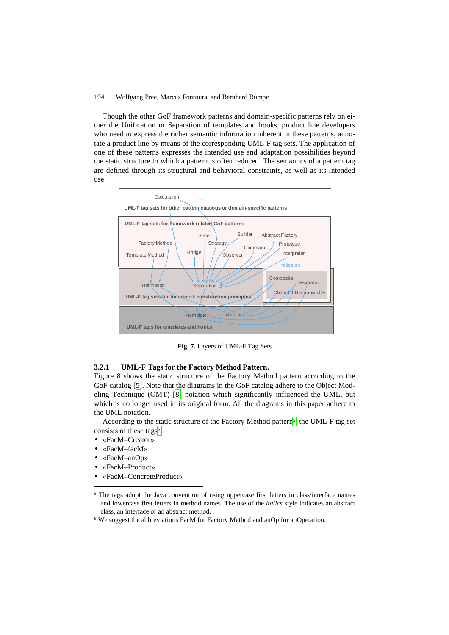Though the other GoF framework patterns and domain-specific patterns rely on either the Unification or Separation of templates and hooks, product line developers who need to express the richer semantic information inherent in these patterns, annotate a product line by means of the corresponding UML-F tag sets. The application of one of these patterns expresses the intended use and adaptation possibilities beyond the static structure to which a pattern is often reduced. The semantics of a pattern tag are defined through its structural and behavioral constraints, as well as its intended use.



**Fig. 7.** Layers of UML-F Tag Sets

# **3.2.1 UML-F Tags for the Factory Method Pattern.**

Figure 8 shows the static structure of the Factory Method pattern according to the GoF catalog [[5\]](#page-9-0). Note that the diagrams in the GoF catalog adhere to the Object Modeling Technique (OMT) [\[8\]](#page-9-0) notation which significantly influenced the UML, but which is no longer used in its original form. All the diagrams in this paper adhere to the UML notation.

According to the static structure of the Factory Method pattern<sup>5</sup>, the UML-F tag set consists of these tags<sup>6</sup>:

- «FacM–Creator»
- «FacM–facM»
- «FacM–anOp»

 $\overline{a}$ 

- «FacM–Product»
- «FacM–ConcreteProduct»

<sup>&</sup>lt;sup>5</sup> The tags adopt the Java convention of using uppercase first letters in class/interface names and lowercase first letters in method names. The use of the *italics* style indicates an abstract class, an interface or an abstract method. 6 We suggest the abbreviations FacM for Factory Method and anOp for anOperation.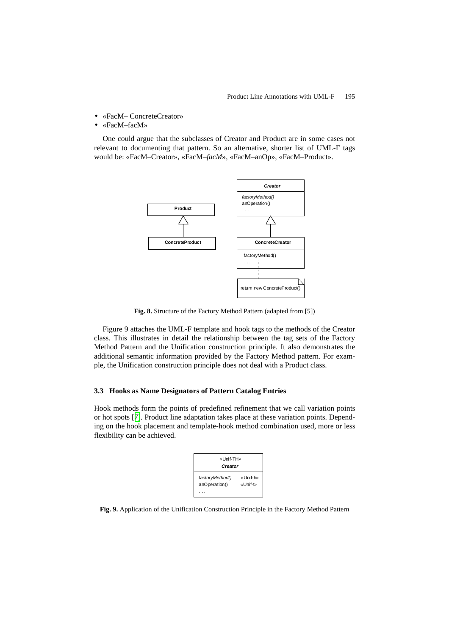- «FacM– ConcreteCreator»
- «FacM–facM»

One could argue that the subclasses of Creator and Product are in some cases not relevant to documenting that pattern. So an alternative, shorter list of UML-F tags would be: «FacM–Creator», «FacM–*facM*», «FacM–anOp», «FacM–Product».



**Fig. 8.** Structure of the Factory Method Pattern (adapted from [5])

Figure 9 attaches the UML-F template and hook tags to the methods of the Creator class. This illustrates in detail the relationship between the tag sets of the Factory Method Pattern and the Unification construction principle. It also demonstrates the additional semantic information provided by the Factory Method pattern. For example, the Unification construction principle does not deal with a Product class.

#### **3.3 Hooks as Name Designators of Pattern Catalog Entries**

Hook methods form the points of predefined refinement that we call variation points or hot spots [[7\]](#page-9-0). Product line adaptation takes place at these variation points. Depending on the hook placement and template-hook method combination used, more or less flexibility can be achieved.



**Fig. 9.** Application of the Unification Construction Principle in the Factory Method Pattern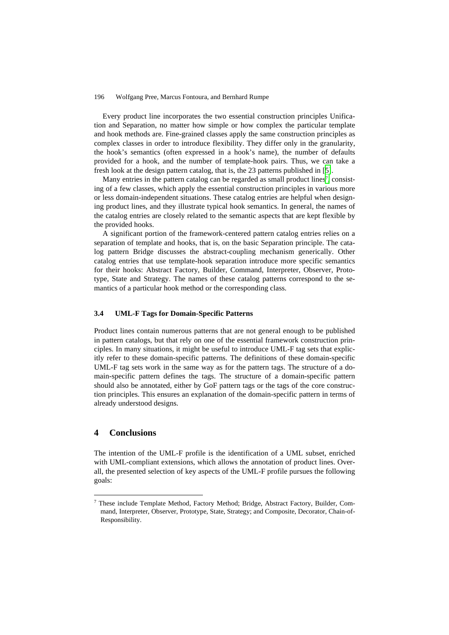Every product line incorporates the two essential construction principles Unification and Separation, no matter how simple or how complex the particular template and hook methods are. Fine-grained classes apply the same construction principles as complex classes in order to introduce flexibility. They differ only in the granularity, the hook's semantics (often expressed in a hook's name), the number of defaults provided for a hook, and the number of template-hook pairs. Thus, we can take a fresh look at the design pattern catalog, that is, the 23 patterns published in [[5\]](#page-9-0).

Many entries in the pattern catalog can be regarded as small product lines<sup>7</sup>, consisting of a few classes, which apply the essential construction principles in various more or less domain-independent situations. These catalog entries are helpful when designing product lines, and they illustrate typical hook semantics. In general, the names of the catalog entries are closely related to the semantic aspects that are kept flexible by the provided hooks.

A significant portion of the framework-centered pattern catalog entries relies on a separation of template and hooks, that is, on the basic Separation principle. The catalog pattern Bridge discusses the abstract-coupling mechanism generically. Other catalog entries that use template-hook separation introduce more specific semantics for their hooks: Abstract Factory, Builder, Command, Interpreter, Observer, Prototype, State and Strategy. The names of these catalog patterns correspond to the semantics of a particular hook method or the corresponding class.

### **3.4 UML-F Tags for Domain-Specific Patterns**

Product lines contain numerous patterns that are not general enough to be published in pattern catalogs, but that rely on one of the essential framework construction principles. In many situations, it might be useful to introduce UML-F tag sets that explicitly refer to these domain-specific patterns. The definitions of these domain-specific UML-F tag sets work in the same way as for the pattern tags. The structure of a domain-specific pattern defines the tags. The structure of a domain-specific pattern should also be annotated, either by GoF pattern tags or the tags of the core construction principles. This ensures an explanation of the domain-specific pattern in terms of already understood designs.

# **4 Conclusions**

1

The intention of the UML-F profile is the identification of a UML subset, enriched with UML-compliant extensions, which allows the annotation of product lines. Overall, the presented selection of key aspects of the UML-F profile pursues the following goals:

<sup>7</sup> These include Template Method, Factory Method; Bridge, Abstract Factory, Builder, Command, Interpreter, Observer, Prototype, State, Strategy; and Composite, Decorator, Chain-of-Responsibility.